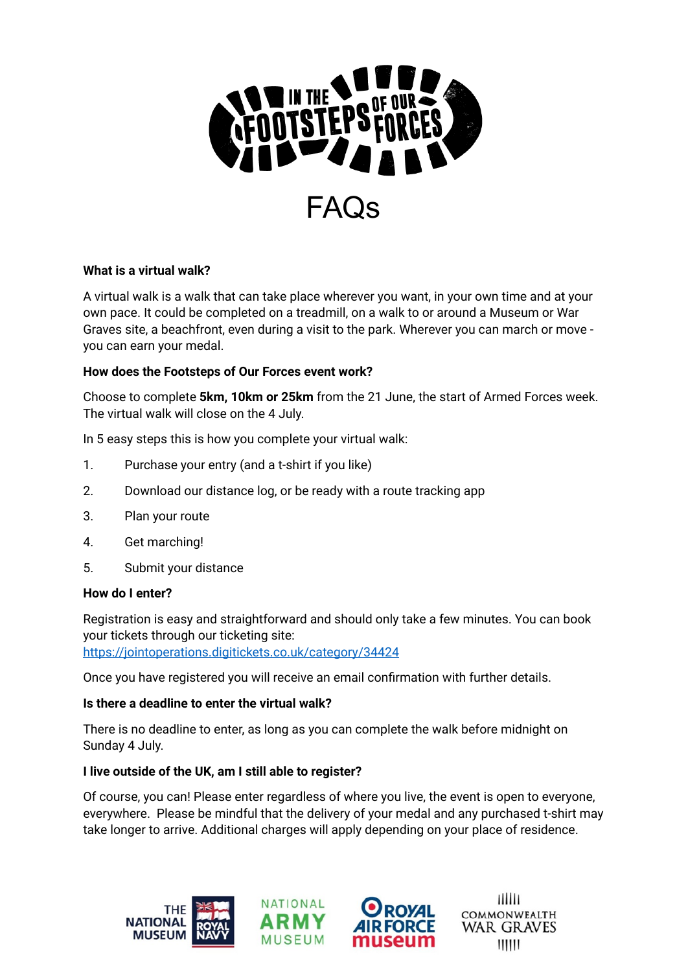

# **What is a virtual walk?**

A virtual walk is a walk that can take place wherever you want, in your own time and at your own pace. It could be completed on a treadmill, on a walk to or around a Museum or War Graves site, a beachfront, even during a visit to the park. Wherever you can march or move you can earn your medal.

#### **How does the Footsteps of Our Forces event work?**

Choose to complete **5km, 10km or 25km** from the 21 June, the start of Armed Forces week. The virtual walk will close on the 4 July.

In 5 easy steps this is how you complete your virtual walk:

- 1. Purchase your entry (and a t-shirt if you like)
- 2. Download our distance log, or be ready with a route tracking app
- 3. Plan your route
- 4. Get marching!
- 5. Submit your distance

#### **How do I enter?**

Registration is easy and straightforward and should only take a few minutes. You can book your tickets through our ticketing site:

<https://jointoperations.digitickets.co.uk/category/34424>

Once you have registered you will receive an email confirmation with further details.

#### **Is there a deadline to enter the virtual walk?**

There is no deadline to enter, as long as you can complete the walk before midnight on Sunday 4 July.

#### **I live outside of the UK, am I still able to register?**

Of course, you can! Please enter regardless of where you live, the event is open to everyone, everywhere. Please be mindful that the delivery of your medal and any purchased t-shirt may take longer to arrive. Additional charges will apply depending on your place of residence.







шш **COMMONWEALTH WAR GRAVES**  $111111$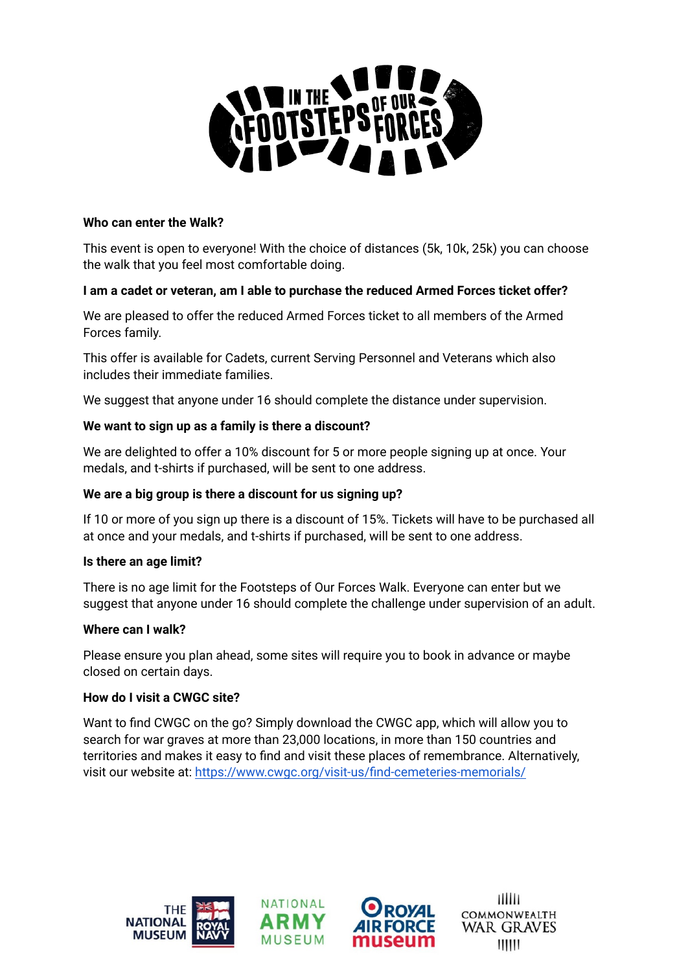

#### **Who can enter the Walk?**

This event is open to everyone! With the choice of distances (5k, 10k, 25k) you can choose the walk that you feel most comfortable doing.

#### **I am a cadet or veteran, am I able to purchase the reduced Armed Forces ticket offer?**

We are pleased to offer the reduced Armed Forces ticket to all members of the Armed Forces family.

This offer is available for Cadets, current Serving Personnel and Veterans which also includes their immediate families.

We suggest that anyone under 16 should complete the distance under supervision.

#### **We want to sign up as a family is there a discount?**

We are delighted to offer a 10% discount for 5 or more people signing up at once. Your medals, and t-shirts if purchased, will be sent to one address.

#### **We are a big group is there a discount for us signing up?**

If 10 or more of you sign up there is a discount of 15%. Tickets will have to be purchased all at once and your medals, and t-shirts if purchased, will be sent to one address.

#### **Is there an age limit?**

There is no age limit for the Footsteps of Our Forces Walk. Everyone can enter but we suggest that anyone under 16 should complete the challenge under supervision of an adult.

#### **Where can I walk?**

Please ensure you plan ahead, some sites will require you to book in advance or maybe closed on certain days.

# **How do I visit a CWGC site?**

Want to find CWGC on the go? Simply download the CWGC app, which will allow you to search for war graves at more than 23,000 locations, in more than 150 countries and territories and makes it easy to find and visit these places of remembrance. Alternatively, visit our website at: <https://www.cwgc.org/visit-us/find-cemeteries-memorials/>







шш **COMMONWEALTH WAR GRAVES**  $111111$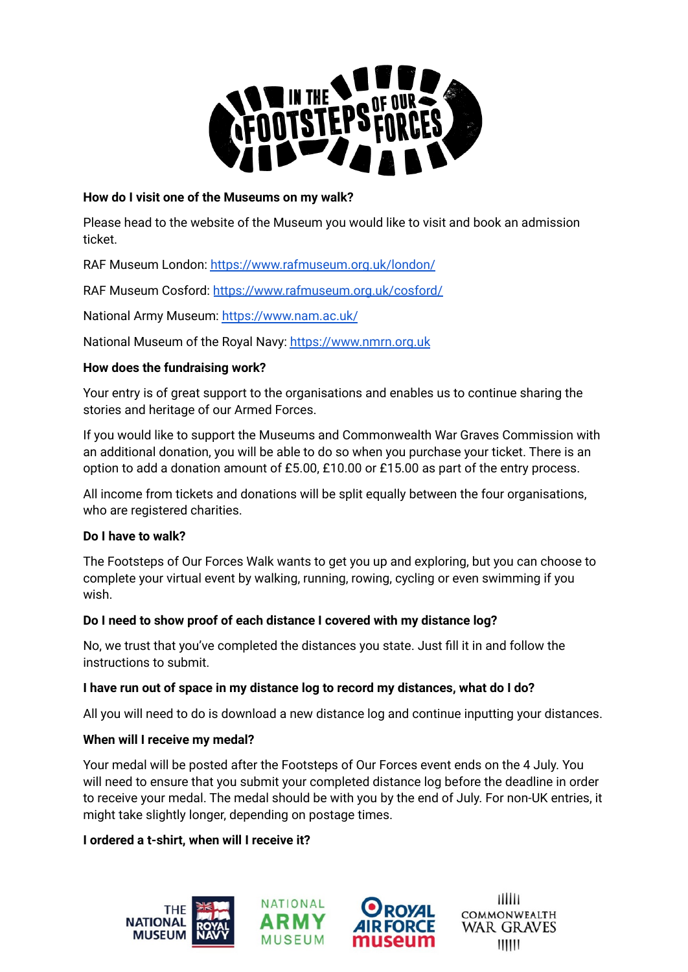

# **How do I visit one of the Museums on my walk?**

Please head to the website of the Museum you would like to visit and book an admission ticket.

RAF Museum London: <https://www.rafmuseum.org.uk/london/>

RAF Museum Cosford: <https://www.rafmuseum.org.uk/cosford/>

National Army Museum: <https://www.nam.ac.uk/>

National Museum of the Royal Navy: <https://www.nmrn.org.uk>

# **How does the fundraising work?**

Your entry is of great support to the organisations and enables us to continue sharing the stories and heritage of our Armed Forces.

If you would like to support the Museums and Commonwealth War Graves Commission with an additional donation, you will be able to do so when you purchase your ticket. There is an option to add a donation amount of £5.00, £10.00 or £15.00 as part of the entry process.

All income from tickets and donations will be split equally between the four organisations, who are registered charities.

# **Do I have to walk?**

The Footsteps of Our Forces Walk wants to get you up and exploring, but you can choose to complete your virtual event by walking, running, rowing, cycling or even swimming if you wish.

# **Do I need to show proof of each distance I covered with my distance log?**

No, we trust that you've completed the distances you state. Just fill it in and follow the instructions to submit.

# **I have run out of space in my distance log to record my distances, what do I do?**

All you will need to do is download a new distance log and continue inputting your distances.

# **When will I receive my medal?**

Your medal will be posted after the Footsteps of Our Forces event ends on the 4 July. You will need to ensure that you submit your completed distance log before the deadline in order to receive your medal. The medal should be with you by the end of July. For non-UK entries, it might take slightly longer, depending on postage times.

# **I ordered a t-shirt, when will I receive it?**



шш **COMMONWEALTH WAR GRAVES**  $111111$